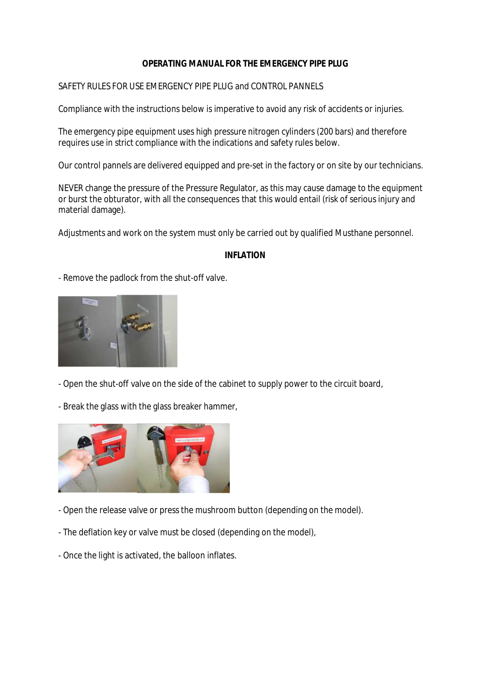## **OPERATING MANUAL FOR THE EMERGENCY PIPE PLUG**

### SAFETY RULES FOR USE EMERGENCY PIPE PLUG and CONTROL PANNELS

Compliance with the instructions below is imperative to avoid any risk of accidents or injuries.

The emergency pipe equipment uses high pressure nitrogen cylinders (200 bars) and therefore requires use in strict compliance with the indications and safety rules below.

Our control pannels are delivered equipped and pre-set in the factory or on site by our technicians.

NEVER change the pressure of the Pressure Regulator, as this may cause damage to the equipment or burst the obturator, with all the consequences that this would entail (risk of serious injury and material damage).

Adjustments and work on the system must only be carried out by qualified Musthane personnel.

#### **INFLATION**

- Remove the padlock from the shut-off valve.



- Open the shut-off valve on the side of the cabinet to supply power to the circuit board,

- Break the glass with the glass breaker hammer,



- Open the release valve or press the mushroom button (depending on the model).
- The deflation key or valve must be closed (depending on the model),
- Once the light is activated, the balloon inflates.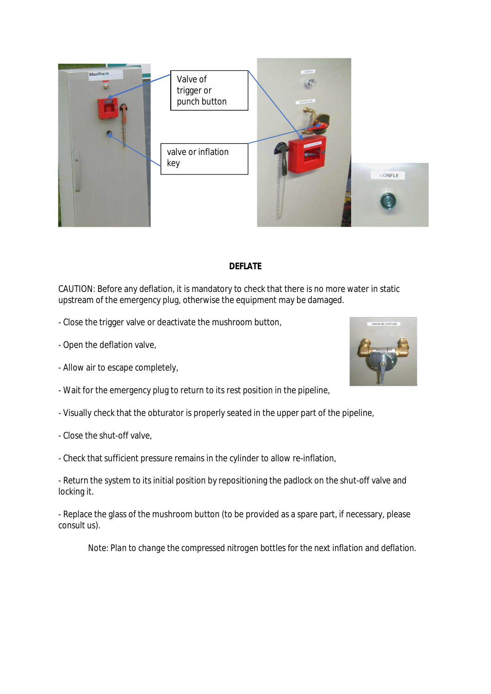

# **DEFLATE**

CAUTION: Before any deflation, it is mandatory to check that there is no more water in static upstream of the emergency plug, otherwise the equipment may be damaged.

- Close the trigger valve or deactivate the mushroom button,

- Open the deflation valve,
- Allow air to escape completely,
- Wait for the emergency plug to return to its rest position in the pipeline,
- Visually check that the obturator is properly seated in the upper part of the pipeline,
- Close the shut-off valve,
- Check that sufficient pressure remains in the cylinder to allow re-inflation,

- Return the system to its initial position by repositioning the padlock on the shut-off valve and locking it.

- Replace the glass of the mushroom button (to be provided as a spare part, if necessary, please consult us).

*Note: Plan to change the compressed nitrogen bottles for the next inflation and deflation.*

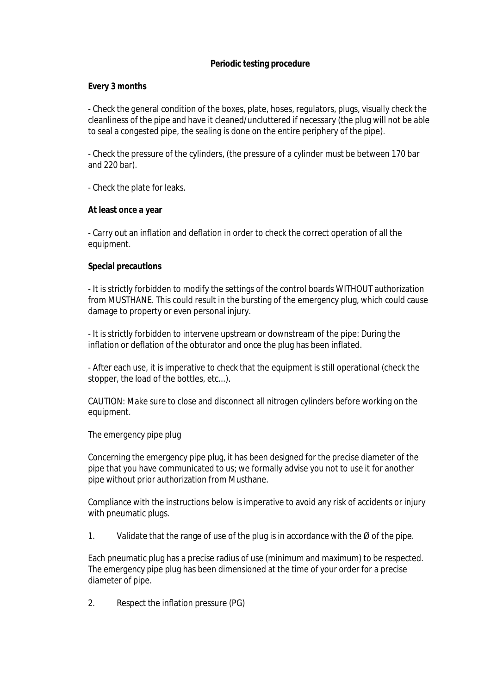### **Periodic testing procedure**

**Every 3 months**

- Check the general condition of the boxes, plate, hoses, regulators, plugs, visually check the cleanliness of the pipe and have it cleaned/uncluttered if necessary (the plug will not be able to seal a congested pipe, the sealing is done on the entire periphery of the pipe).

- Check the pressure of the cylinders, (the pressure of a cylinder must be between 170 bar and 220 bar).

- Check the plate for leaks.

**At least once a year**

- Carry out an inflation and deflation in order to check the correct operation of all the equipment.

**Special precautions**

- It is strictly forbidden to modify the settings of the control boards WITHOUT authorization from MUSTHANE. This could result in the bursting of the emergency plug, which could cause damage to property or even personal injury.

- It is strictly forbidden to intervene upstream or downstream of the pipe: During the inflation or deflation of the obturator and once the plug has been inflated.

- After each use, it is imperative to check that the equipment is still operational (check the stopper, the load of the bottles, etc...).

CAUTION: Make sure to close and disconnect all nitrogen cylinders before working on the equipment.

The emergency pipe plug

Concerning the emergency pipe plug, it has been designed for the precise diameter of the pipe that you have communicated to us; we formally advise you not to use it for another pipe without prior authorization from Musthane.

Compliance with the instructions below is imperative to avoid any risk of accidents or injury with pneumatic plugs.

1. Validate that the range of use of the plug is in accordance with the  $\emptyset$  of the pipe.

Each pneumatic plug has a precise radius of use (minimum and maximum) to be respected. The emergency pipe plug has been dimensioned at the time of your order for a precise diameter of pipe.

2. Respect the inflation pressure (PG)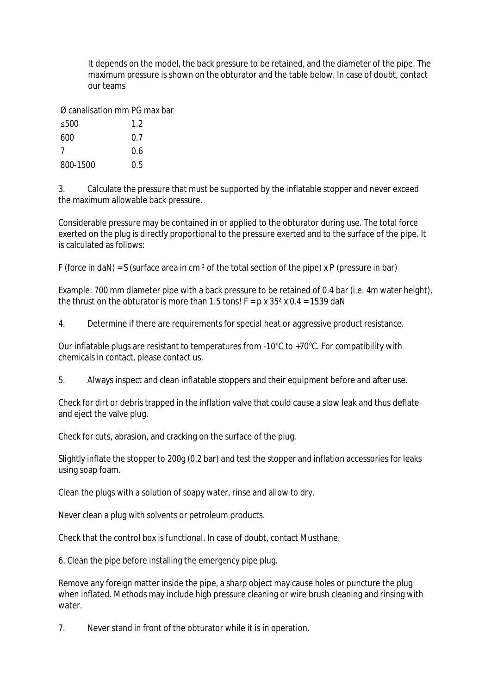It depends on the model, the back pressure to be retained, and the diameter of the pipe. The maximum pressure is shown on the obturator and the table below. In case of doubt, contact our teams

Ø canalisation mm PG max bar

| ≤500     | 1.2 |
|----------|-----|
| 600      | 0.7 |
| 7        | 0.6 |
| 800-1500 | 0.5 |

3. Calculate the pressure that must be supported by the inflatable stopper and never exceed the maximum allowable back pressure.

Considerable pressure may be contained in or applied to the obturator during use. The total force exerted on the plug is directly proportional to the pressure exerted and to the surface of the pipe. It is calculated as follows:

F (force in daN) = S (surface area in cm  $^2$  of the total section of the pipe) x P (pressure in bar)

Example: 700 mm diameter pipe with a back pressure to be retained of 0.4 bar (i.e. 4m water height), the thrust on the obturator is more than 1.5 tons!  $F = p \times 35^2 \times 0.4 = 1539$  daN

4. Determine if there are requirements for special heat or aggressive product resistance.

Our inflatable plugs are resistant to temperatures from -10°C to +70°C. For compatibility with chemicals in contact, please contact us.

5. Always inspect and clean inflatable stoppers and their equipment before and after use.

Check for dirt or debris trapped in the inflation valve that could cause a slow leak and thus deflate and eject the valve plug.

Check for cuts, abrasion, and cracking on the surface of the plug.

Slightly inflate the stopper to 200g (0.2 bar) and test the stopper and inflation accessories for leaks using soap foam.

Clean the plugs with a solution of soapy water, rinse and allow to dry.

Never clean a plug with solvents or petroleum products.

Check that the control box is functional. In case of doubt, contact Musthane.

6. Clean the pipe before installing the emergency pipe plug.

Remove any foreign matter inside the pipe, a sharp object may cause holes or puncture the plug when inflated. Methods may include high pressure cleaning or wire brush cleaning and rinsing with water.

7. Never stand in front of the obturator while it is in operation.